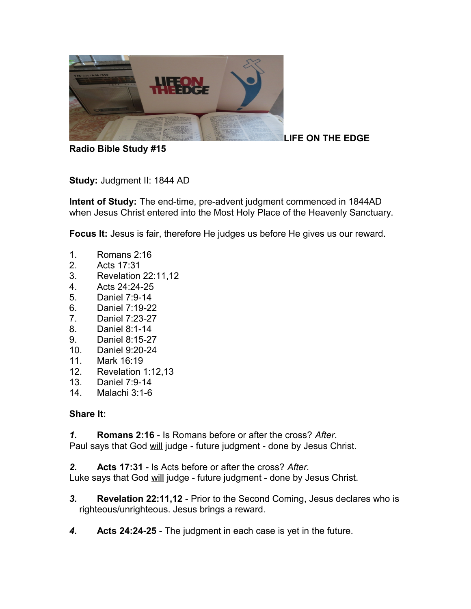

**Radio Bible Study #15**

**LIFE ON THE EDGE** 

**Study:** Judgment II: 1844 AD

**Intent of Study:** The end-time, pre-advent judgment commenced in 1844AD when Jesus Christ entered into the Most Holy Place of the Heavenly Sanctuary.

**Focus It:** Jesus is fair, therefore He judges us before He gives us our reward.

- 1. Romans 2:16
- 2. Acts 17:31
- 3. Revelation 22:11,12
- 4. Acts 24:24-25
- 5. Daniel 7:9-14
- 6. Daniel 7:19-22
- 7. Daniel 7:23-27
- 8. Daniel 8:1-14
- 9. Daniel 8:15-27
- 10. Daniel 9:20-24
- 11. Mark 16:19
- 12. Revelation 1:12,13
- 13. Daniel 7:9-14
- 14. Malachi 3:1-6

### **Share It:**

*1.* **Romans 2:16** - Is Romans before or after the cross? *After*.

Paul says that God will judge - future judgment - done by Jesus Christ.

*2.* **Acts 17:31** - Is Acts before or after the cross? *After.*

Luke says that God will judge - future judgment - done by Jesus Christ.

- *3.* **Revelation 22:11,12** Prior to the Second Coming, Jesus declares who is righteous/unrighteous. Jesus brings a reward.
- *4.* **Acts 24:24-25**  The judgment in each case is yet in the future.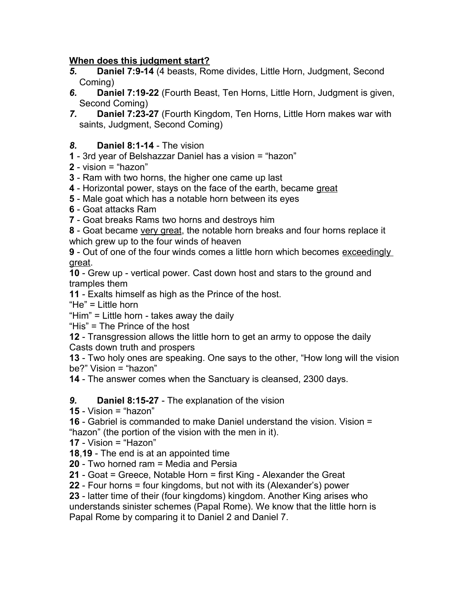### **When does this judgment start?**

- *5.* **Daniel 7:9-14** (4 beasts, Rome divides, Little Horn, Judgment, Second Coming)
- *6.* **Daniel 7:19-22** (Fourth Beast, Ten Horns, Little Horn, Judgment is given, Second Coming)
- *7.* **Daniel 7:23-27** (Fourth Kingdom, Ten Horns, Little Horn makes war with saints, Judgment, Second Coming)

### *8.* **Daniel 8:1-14** - The vision

- **1** 3rd year of Belshazzar Daniel has a vision = "hazon"
- **2** vision = "hazon"
- **3** Ram with two horns, the higher one came up last
- **4** Horizontal power, stays on the face of the earth, became great
- **5** Male goat which has a notable horn between its eyes
- **6**  Goat attacks Ram
- **7** Goat breaks Rams two horns and destroys him
- **8** Goat became very great, the notable horn breaks and four horns replace it which grew up to the four winds of heaven
- **9** Out of one of the four winds comes a little horn which becomes exceedingly great.

**10** - Grew up - vertical power. Cast down host and stars to the ground and tramples them

**11** - Exalts himself as high as the Prince of the host.

"He" = Little horn

"Him" = Little horn - takes away the daily

"His" = The Prince of the host

**12** - Transgression allows the little horn to get an army to oppose the daily Casts down truth and prospers

**13** - Two holy ones are speaking. One says to the other, "How long will the vision be?" Vision = "hazon"

**14** - The answer comes when the Sanctuary is cleansed, 2300 days.

*9.* **Daniel 8:15-27** - The explanation of the vision

**15** - Vision = "hazon"

**16** - Gabriel is commanded to make Daniel understand the vision. Vision = "hazon" (the portion of the vision with the men in it).

**17** - Vision = "Hazon"

**18**,**19** - The end is at an appointed time

**20** - Two horned ram = Media and Persia

**21** - Goat = Greece, Notable Horn = first King - Alexander the Great

**22** - Four horns = four kingdoms, but not with its (Alexander's) power

**23** - latter time of their (four kingdoms) kingdom. Another King arises who understands sinister schemes (Papal Rome). We know that the little horn is Papal Rome by comparing it to Daniel 2 and Daniel 7.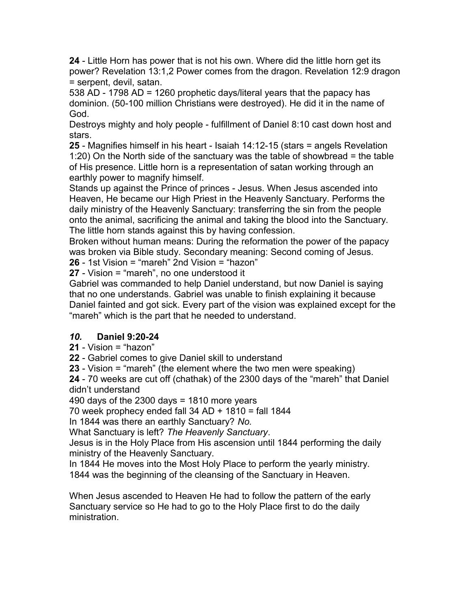**24** - Little Horn has power that is not his own. Where did the little horn get its power? Revelation 13:1,2 Power comes from the dragon. Revelation 12:9 dragon = serpent, devil, satan.

538 AD - 1798 AD = 1260 prophetic days/literal years that the papacy has dominion. (50-100 million Christians were destroyed). He did it in the name of God.

Destroys mighty and holy people - fulfillment of Daniel 8:10 cast down host and stars.

**25** - Magnifies himself in his heart - Isaiah 14:12-15 (stars = angels Revelation 1:20) On the North side of the sanctuary was the table of showbread = the table of His presence. Little horn is a representation of satan working through an earthly power to magnify himself.

Stands up against the Prince of princes - Jesus. When Jesus ascended into Heaven, He became our High Priest in the Heavenly Sanctuary. Performs the daily ministry of the Heavenly Sanctuary: transferring the sin from the people onto the animal, sacrificing the animal and taking the blood into the Sanctuary. The little horn stands against this by having confession.

Broken without human means: During the reformation the power of the papacy was broken via Bible study. Secondary meaning: Second coming of Jesus.

**26** - 1st Vision = "mareh" 2nd Vision = "hazon"

**27** - Vision = "mareh", no one understood it

Gabriel was commanded to help Daniel understand, but now Daniel is saying that no one understands. Gabriel was unable to finish explaining it because Daniel fainted and got sick. Every part of the vision was explained except for the "mareh" which is the part that he needed to understand.

# *10.* **Daniel 9:20-24**

**21** - Vision = "hazon"

**22** - Gabriel comes to give Daniel skill to understand

**23** - Vision = "mareh" (the element where the two men were speaking)

**24** - 70 weeks are cut off (chathak) of the 2300 days of the "mareh" that Daniel didn't understand

490 days of the 2300 days = 1810 more years

70 week prophecy ended fall  $34$  AD + 1810 = fall 1844

In 1844 was there an earthly Sanctuary? *No.*

What Sanctuary is left? *The Heavenly Sanctuary*.

Jesus is in the Holy Place from His ascension until 1844 performing the daily ministry of the Heavenly Sanctuary.

In 1844 He moves into the Most Holy Place to perform the yearly ministry. 1844 was the beginning of the cleansing of the Sanctuary in Heaven.

When Jesus ascended to Heaven He had to follow the pattern of the early Sanctuary service so He had to go to the Holy Place first to do the daily ministration.